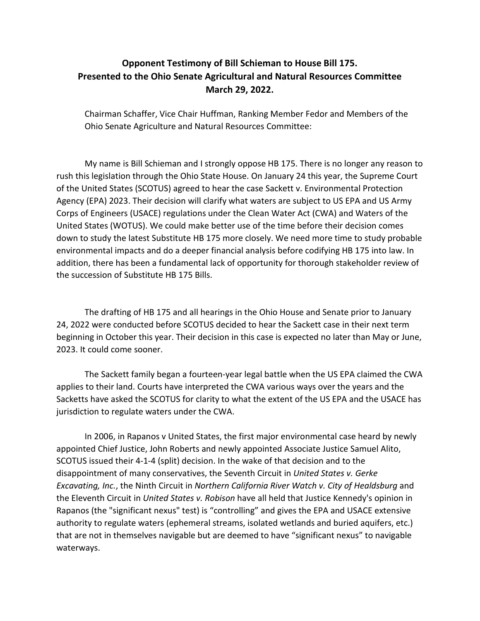## **Opponent Testimony of Bill Schieman to House Bill 175. Presented to the Ohio Senate Agricultural and Natural Resources Committee March 29, 2022.**

Chairman Schaffer, Vice Chair Huffman, Ranking Member Fedor and Members of the Ohio Senate Agriculture and Natural Resources Committee:

My name is Bill Schieman and I strongly oppose HB 175. There is no longer any reason to rush this legislation through the Ohio State House. On January 24 this year, the Supreme Court of the United States (SCOTUS) agreed to hear the case Sackett v. Environmental Protection Agency (EPA) 2023. Their decision will clarify what waters are subject to US EPA and US Army Corps of Engineers (USACE) regulations under the Clean Water Act (CWA) and Waters of the United States (WOTUS). We could make better use of the time before their decision comes down to study the latest Substitute HB 175 more closely. We need more time to study probable environmental impacts and do a deeper financial analysis before codifying HB 175 into law. In addition, there has been a fundamental lack of opportunity for thorough stakeholder review of the succession of Substitute HB 175 Bills.

The drafting of HB 175 and all hearings in the Ohio House and Senate prior to January 24, 2022 were conducted before SCOTUS decided to hear the Sackett case in their next term beginning in October this year. Their decision in this case is expected no later than May or June, 2023. It could come sooner.

The Sackett family began a fourteen-year legal battle when the US EPA claimed the CWA applies to their land. Courts have interpreted the CWA various ways over the years and the Sacketts have asked the SCOTUS for clarity to what the extent of the US EPA and the USACE has jurisdiction to regulate waters under the CWA.

In 2006, in Rapanos v United States, the first major environmental case heard by newly appointed Chief Justice, John Roberts and newly appointed Associate Justice Samuel Alito, SCOTUS issued their 4-1-4 (split) decision. In the wake of that decision and to the disappointment of many conservatives, the Seventh Circuit in *United States v. Gerke Excavating, Inc.*, the Ninth Circuit in *Northern California River Watch v. City of Healdsburg* and the Eleventh Circuit in *United States v. Robison* have all held that Justice Kennedy's opinion in Rapanos (the "significant nexus" test) is "controlling" and gives the EPA and USACE extensive authority to regulate waters (ephemeral streams, isolated wetlands and buried aquifers, etc.) that are not in themselves navigable but are deemed to have "significant nexus" to navigable waterways.